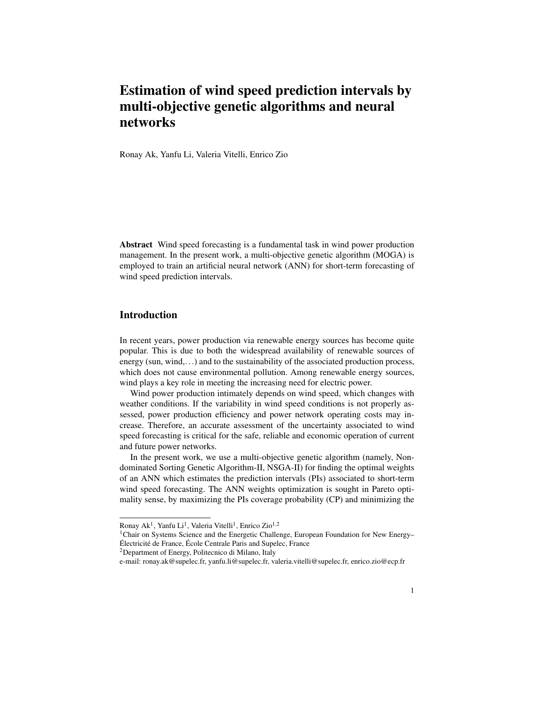# Estimation of wind speed prediction intervals by multi-objective genetic algorithms and neural networks

Ronay Ak, Yanfu Li, Valeria Vitelli, Enrico Zio

Abstract Wind speed forecasting is a fundamental task in wind power production management. In the present work, a multi-objective genetic algorithm (MOGA) is employed to train an artificial neural network (ANN) for short-term forecasting of wind speed prediction intervals.

## **Introduction**

In recent years, power production via renewable energy sources has become quite popular. This is due to both the widespread availability of renewable sources of energy (sun, wind,...) and to the sustainability of the associated production process, which does not cause environmental pollution. Among renewable energy sources, wind plays a key role in meeting the increasing need for electric power.

Wind power production intimately depends on wind speed, which changes with weather conditions. If the variability in wind speed conditions is not properly assessed, power production efficiency and power network operating costs may increase. Therefore, an accurate assessment of the uncertainty associated to wind speed forecasting is critical for the safe, reliable and economic operation of current and future power networks.

In the present work, we use a multi-objective genetic algorithm (namely, Nondominated Sorting Genetic Algorithm-II, NSGA-II) for finding the optimal weights of an ANN which estimates the prediction intervals (PIs) associated to short-term wind speed forecasting. The ANN weights optimization is sought in Pareto optimality sense, by maximizing the PIs coverage probability (CP) and minimizing the

Ronay Ak<sup>1</sup>, Yanfu Li<sup>1</sup>, Valeria Vitelli<sup>1</sup>, Enrico Zio<sup>1,2</sup>

<sup>1</sup>Chair on Systems Science and the Energetic Challenge, European Foundation for New Energy– Électricité de France, École Centrale Paris and Supelec, France

<sup>2</sup>Department of Energy, Politecnico di Milano, Italy

e-mail: ronay.ak@supelec.fr, yanfu.li@supelec.fr, valeria.vitelli@supelec.fr, enrico.zio@ecp.fr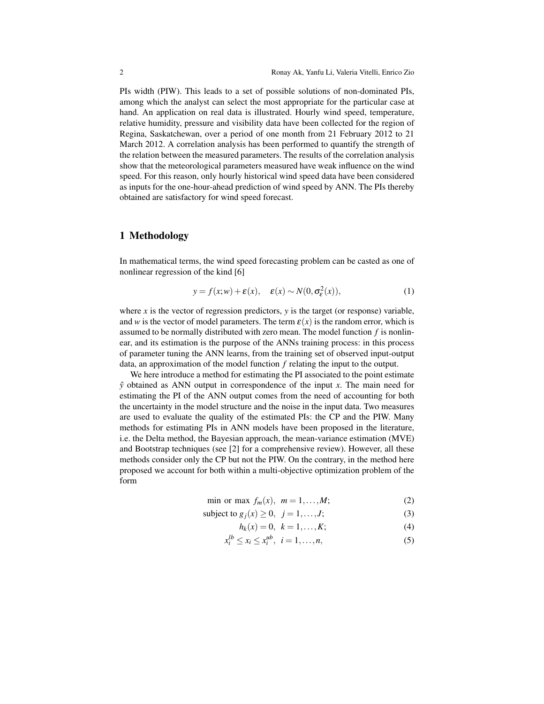PIs width (PIW). This leads to a set of possible solutions of non-dominated PIs, among which the analyst can select the most appropriate for the particular case at hand. An application on real data is illustrated. Hourly wind speed, temperature, relative humidity, pressure and visibility data have been collected for the region of Regina, Saskatchewan, over a period of one month from 21 February 2012 to 21 March 2012. A correlation analysis has been performed to quantify the strength of the relation between the measured parameters. The results of the correlation analysis show that the meteorological parameters measured have weak influence on the wind speed. For this reason, only hourly historical wind speed data have been considered as inputs for the one-hour-ahead prediction of wind speed by ANN. The PIs thereby obtained are satisfactory for wind speed forecast.

# 1 Methodology

In mathematical terms, the wind speed forecasting problem can be casted as one of nonlinear regression of the kind [6]

$$
y = f(x; w) + \varepsilon(x), \quad \varepsilon(x) \sim N(0, \sigma_{\varepsilon}^{2}(x)), \tag{1}
$$

where  $x$  is the vector of regression predictors,  $y$  is the target (or response) variable, and *w* is the vector of model parameters. The term  $\varepsilon(x)$  is the random error, which is assumed to be normally distributed with zero mean. The model function *f* is nonlinear, and its estimation is the purpose of the ANNs training process: in this process of parameter tuning the ANN learns, from the training set of observed input-output data, an approximation of the model function *f* relating the input to the output.

We here introduce a method for estimating the PI associated to the point estimate *y*ˆ obtained as ANN output in correspondence of the input *x*. The main need for estimating the PI of the ANN output comes from the need of accounting for both the uncertainty in the model structure and the noise in the input data. Two measures are used to evaluate the quality of the estimated PIs: the CP and the PIW. Many methods for estimating PIs in ANN models have been proposed in the literature, i.e. the Delta method, the Bayesian approach, the mean-variance estimation (MVE) and Bootstrap techniques (see [2] for a comprehensive review). However, all these methods consider only the CP but not the PIW. On the contrary, in the method here proposed we account for both within a multi-objective optimization problem of the form

$$
\min \text{ or } \max f_m(x), \ m = 1, \dots, M; \tag{2}
$$

subject to 
$$
g_j(x) \ge 0, \ j = 1, \ldots, J;
$$
 (3)

$$
h_k(x) = 0, \ k = 1, \dots, K; \tag{4}
$$

$$
x_i^{lb} \le x_i \le x_i^{ub}, \ \ i = 1, \dots, n,\tag{5}
$$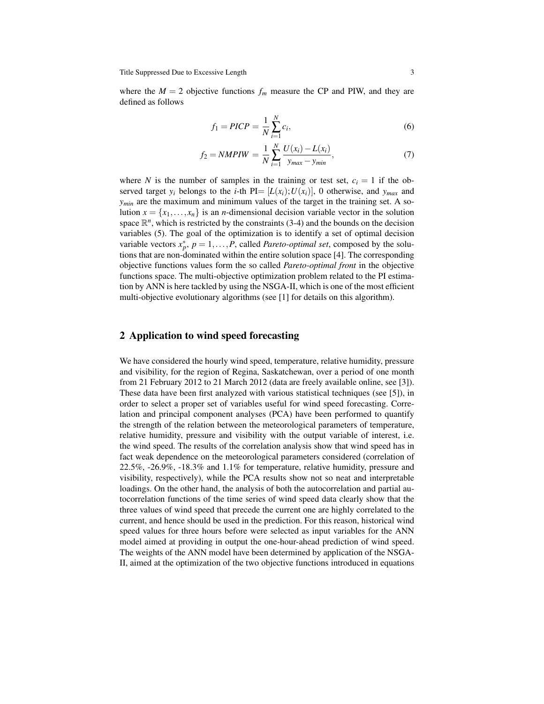where the  $M = 2$  objective functions  $f_m$  measure the CP and PIW, and they are defined as follows

$$
f_1 = \text{PICP} = \frac{1}{N} \sum_{i=1}^{N} c_i,\tag{6}
$$

$$
f_2 = NMPIW = \frac{1}{N} \sum_{i=1}^{N} \frac{U(x_i) - L(x_i)}{y_{max} - y_{min}},
$$
\n(7)

where *N* is the number of samples in the training or test set,  $c_i = 1$  if the observed target  $y_i$  belongs to the *i*-th  $PI = [L(x_i); U(x_i)]$ , 0 otherwise, and  $y_{max}$  and *ymin* are the maximum and minimum values of the target in the training set. A solution  $x = \{x_1, \ldots, x_n\}$  is an *n*-dimensional decision variable vector in the solution space  $\mathbb{R}^n$ , which is restricted by the constraints (3-4) and the bounds on the decision variables (5). The goal of the optimization is to identify a set of optimal decision variable vectors  $x_p^*$ ,  $p = 1, ..., P$ , called *Pareto-optimal set*, composed by the solutions that are non-dominated within the entire solution space [4]. The corresponding objective functions values form the so called *Pareto-optimal front* in the objective functions space. The multi-objective optimization problem related to the PI estimation by ANN is here tackled by using the NSGA-II, which is one of the most efficient multi-objective evolutionary algorithms (see [1] for details on this algorithm).

## 2 Application to wind speed forecasting

We have considered the hourly wind speed, temperature, relative humidity, pressure and visibility, for the region of Regina, Saskatchewan, over a period of one month from 21 February 2012 to 21 March 2012 (data are freely available online, see [3]). These data have been first analyzed with various statistical techniques (see [5]), in order to select a proper set of variables useful for wind speed forecasting. Correlation and principal component analyses (PCA) have been performed to quantify the strength of the relation between the meteorological parameters of temperature, relative humidity, pressure and visibility with the output variable of interest, i.e. the wind speed. The results of the correlation analysis show that wind speed has in fact weak dependence on the meteorological parameters considered (correlation of 22.5%, -26.9%, -18.3% and 1.1% for temperature, relative humidity, pressure and visibility, respectively), while the PCA results show not so neat and interpretable loadings. On the other hand, the analysis of both the autocorrelation and partial autocorrelation functions of the time series of wind speed data clearly show that the three values of wind speed that precede the current one are highly correlated to the current, and hence should be used in the prediction. For this reason, historical wind speed values for three hours before were selected as input variables for the ANN model aimed at providing in output the one-hour-ahead prediction of wind speed. The weights of the ANN model have been determined by application of the NSGA-II, aimed at the optimization of the two objective functions introduced in equations